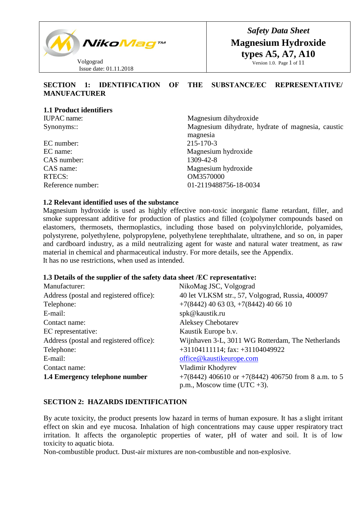

*Safety Data Sheet* **Magnesium Hydroxide types A5, A7, A10** Version 1.0. Page 1 of 11

# **SECTION 1: IDENTIFICATION OF THE SUBSTANCE/ЕС REPRESENTATIVE/ MANUFACTURER**

| Magnesium dihydroxide                                         |
|---------------------------------------------------------------|
| Magnesium dihydrate, hydrate of magnesia, caustic<br>magnesia |
| 215-170-3                                                     |
| Magnesium hydroxide                                           |
| 1309-42-8                                                     |
| Magnesium hydroxide                                           |
| OM3570000                                                     |
| 01-2119488756-18-0034                                         |
|                                                               |

### **1.2 Relevant identified uses of the substance**

Magnesium hydroxide is used as highly effective non-toxic inorganic flame retardant, filler, and smoke suppressant additive for production of plastics and filled (co)polymer compounds based on elastomers, thermosets, thermoplastics, including those based on polyvinylchloride, polyamides, polystyrene, polyethylene, polypropylene, polyethylene terephthalate, ultrathene, and so on, in paper and cardboard industry, as a mild neutralizing agent for waste and natural water treatment, as raw material in chemical and pharmaceutical industry. For more details, see the Appendix. It has no use restrictions, when used as intended.

### **1.3 Details of the supplier of the safety data sheet /ЕС representative:**

| Manufacturer:                           | NikoMag JSC, Volgograd                                  |
|-----------------------------------------|---------------------------------------------------------|
| Address (postal and registered office): | 40 let VLKSM str., 57, Volgograd, Russia, 400097        |
| Telephone:                              | $+7(8442)$ 40 63 03, $+7(8442)$ 40 66 10                |
| E-mail:                                 | spk@kaustik.ru                                          |
| Contact name:                           | <b>Aleksey Chebotarev</b>                               |
| EC representative:                      | Kaustik Europe b.v.                                     |
| Address (postal and registered office): | Wijnhaven 3-L, 3011 WG Rotterdam, The Netherlands       |
| Telephone:                              | $+31104111114$ ; fax: $+31104049922$                    |
| E-mail:                                 | office@kaustikeurope.com                                |
| Contact name:                           | Vladimir Khodyrev                                       |
| 1.4 Emergency telephone number          | $+7(8442)$ 406610 or $+7(8442)$ 406750 from 8 a.m. to 5 |
|                                         | p.m., Moscow time (UTC $+3$ ).                          |

### **SECTION 2: HAZARDS IDENTIFICATION**

By acute toxicity, the product presents low hazard in terms of human exposure. It has a slight irritant effect on skin and eye mucosa. Inhalation of high concentrations may cause upper respiratory tract irritation. It affects the organoleptic properties of water, pH of water and soil. It is of low toxicity to aquatic biota.

Non-combustible product. Dust-air mixtures are non-combustible and non-explosive.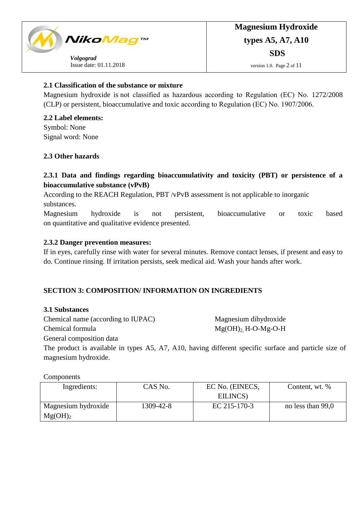

# **2.1 Classification of the substance or mixture**

Magnesium hydroxide is not classified as hazardous according to Regulation (ЕС) No. 1272/2008 (CLP) or persistent, bioaccumulative and toxic according to Regulation (ЕС) No. 1907/2006.

**2.2 Label elements:** Symbol: None Signal word: None

# **2.3 Other hazards**

# **2.3.1 Data and findings regarding bioaccumulativity and toxicity (PBT) or persistence of a bioaccumulative substance (vPvB)**

According to the REACH Regulation, PBT /vPvB assessment is not applicable to inorganic substances.

Magnesium hydroxide is not persistent, bioaccumulative or toxic based on quantitative and qualitative evidence presented.

### **2.3.2 Danger prevention measures:**

If in eyes, carefully rinse with water for several minutes. Remove contact lenses, if present and easy to do. Continue rinsing. If irritation persists, seek medical aid. Wash your hands after work.

# **SECTION 3: COMPOSITION/ INFORMATION ON INGREDIENTS**

### **3.1 Substances**

Chemical name (according to IUPAC) Magnesium dihydroxide

Chemical formula  $Mg(OH)$ <sup>2</sup> H-O-Mg-O-H

General composition data

The product is available in types A5, A7, A10, having different specific surface and particle size of magnesium hydroxide.

Components

| Ingredients:                               | CAS No.   | EC No. (EINECS,<br>EILINCS) | Content, wt. %    |
|--------------------------------------------|-----------|-----------------------------|-------------------|
| Magnesium hydroxide<br>Mg(OH) <sub>2</sub> | 1309-42-8 | EC 215-170-3                | no less than 99,0 |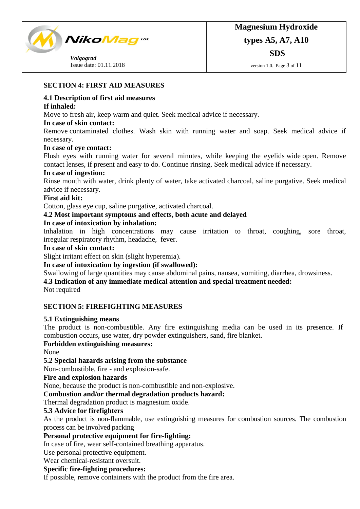

version 1.0. Page 3 of 11

# **SECTION 4: FIRST AID MEASURES**

# **4.1 Description of first aid measures**

# **If inhaled:**

Move to fresh air, keep warm and quiet. Seek medical advice if necessary.

# **In case of skin contact:**

Remove contaminated clothes. Wash skin with running water and soap. Seek medical advice if necessary.

# **In case of eye contact:**

Flush eyes with running water for several minutes, while keeping the eyelids wide open. Remove contact lenses, if present and easy to do. Continue rinsing. Seek medical advice if necessary.

# **In case of ingestion:**

Rinse mouth with water, drink plenty of water, take activated charcoal, saline purgative. Seek medical advice if necessary.

# **First aid kit:**

Cotton, glass eye cup, saline purgative, activated charcoal.

# **4.2 Most important symptoms and effects, both acute and delayed**

# **In case of intoxication by inhalation:**

Inhalation in high concentrations may cause irritation to throat, coughing, sore throat, irregular respiratory rhythm, headache, fever.

# **In case of skin contact:**

Slight irritant effect on skin (slight hyperemia).

# **In case of intoxication by ingestion (if swallowed):**

Swallowing of large quantities may cause abdominal pains, nausea, vomiting, diarrhea, drowsiness.

# **4.3 Indication of any immediate medical attention and special treatment needed:**

Not required

# **SECTION 5: FIREFIGHTING MEASURES**

# **5.1 Extinguishing means**

The product is non-combustible. Any fire extinguishing media can be used in its presence. If combustion occurs, use water, dry powder extinguishers, sand, fire blanket.

# **Forbidden extinguishing measures:**

None

# **5.2 Special hazards arising from the substance**

Non-combustible, fire - and explosion-safe.

# **Fire and explosion hazards**

None, because the product is non-combustible and non-explosive.

# **Combustion and/or thermal degradation products hazard:**

Thermal degradation product is magnesium oxide.

# **5.3 Advice for firefighters**

As the product is non-flammable, use extinguishing measures for combustion sources. The combustion process can be involved packing

# **Personal protective equipment for fire-fighting:**

In case of fire, wear self-contained breathing apparatus.

Use personal protective equipment.

Wear chemical-resistant oversuit.

# **Specific fire-fighting procedures:**

If possible, remove containers with the product from the fire area.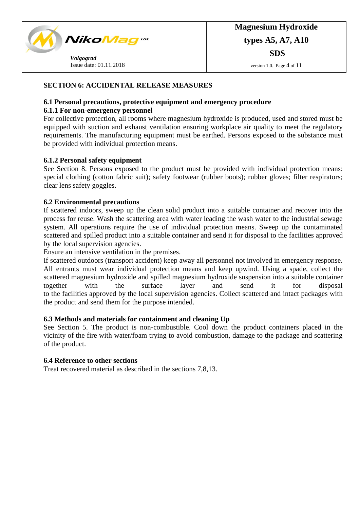

# **SECTION 6: ACCIDENTAL RELEASE MEASURES**

### **6.1 Personal precautions, protective equipment and emergency procedure**

### **6.1.1 For non-emergency personnel**

For collective protection, all rooms where magnesium hydroxide is produced, used and stored must be equipped with suction and exhaust ventilation ensuring workplace air quality to meet the regulatory requirements. The manufacturing equipment must be earthed. Persons exposed to the substance must be provided with individual protection means.

# **6.1.2 Personal safety equipment**

See Section 8. Persons exposed to the product must be provided with individual protection means: special clothing (cotton fabric suit); safety footwear (rubber boots); rubber gloves; filter respirators; clear lens safety goggles.

### **6.2 Environmental precautions**

If scattered indoors, sweep up the clean solid product into a suitable container and recover into the process for reuse. Wash the scattering area with water leading the wash water to the industrial sewage system. All operations require the use of individual protection means. Sweep up the contaminated scattered and spilled product into a suitable container and send it for disposal to the facilities approved by the local supervision agencies.

Ensure an intensive ventilation in the premises.

If scattered outdoors (transport accident) keep away all personnel not involved in emergency response. All entrants must wear individual protection means and keep upwind. Using a spade, collect the scattered magnesium hydroxide and spilled magnesium hydroxide suspension into a suitable container together with the surface layer and send it for disposal to the facilities approved by the local supervision agencies. Collect scattered and intact packages with the product and send them for the purpose intended.

### **6.3 Methods and materials for containment and cleaning Up**

See Section 5. The product is non-combustible. Cool down the product containers placed in the vicinity of the fire with water/foam trying to avoid combustion, damage to the package and scattering of the product.

### **6.4 Reference to other sections**

Treat recovered material as described in the sections 7,8,13.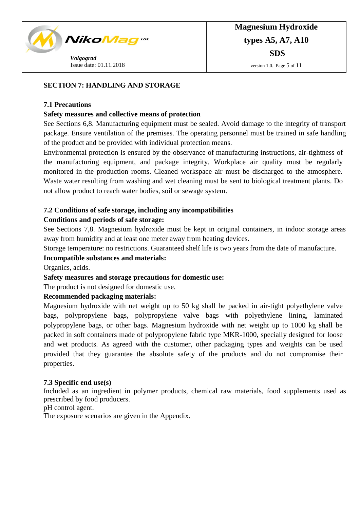

# **SECTION 7: HANDLING AND STORAGE**

### **7.1 Precautions**

### **Safety measures and collective means of protection**

See Sections 6,8. Manufacturing equipment must be sealed. Avoid damage to the integrity of transport package. Ensure ventilation of the premises. The operating personnel must be trained in safe handling of the product and be provided with individual protection means.

Environmental protection is ensured by the observance of manufacturing instructions, air-tightness of the manufacturing equipment, and package integrity. Workplace air quality must be regularly monitored in the production rooms. Cleaned workspace air must be discharged to the atmosphere. Waste water resulting from washing and wet cleaning must be sent to biological treatment plants. Do not allow product to reach water bodies, soil or sewage system.

# **7.2 Conditions of safe storage, including any incompatibilities**

# **Conditions and periods of safe storage:**

See Sections 7,8. Magnesium hydroxide must be kept in original containers, in indoor storage areas away from humidity and at least one meter away from heating devices.

Storage temperature: no restrictions. Guaranteed shelf life is two years from the date of manufacture.

### **Incompatible substances and materials:**

Organics, acids.

# **Safety measures and storage precautions for domestic use:**

The product is not designed for domestic use.

# **Recommended packaging materials:**

Magnesium hydroxide with net weight up to 50 kg shall be packed in air-tight polyethylene valve bags, polypropylene bags, polypropylene valve bags with polyethylene lining, laminated polypropylene bags, or other bags. Magnesium hydroxide with net weight up to 1000 kg shall be packed in soft containers made of polypropylene fabric type MKR-1000, specially designed for loose and wet products. As agreed with the customer, other packaging types and weights can be used provided that they guarantee the absolute safety of the products and do not compromise their properties.

### **7.3 Specific end use(s)**

Included as an ingredient in polymer products, chemical raw materials, food supplements used as prescribed by food producers.

pH control agent.

The exposure scenarios are given in the Appendix.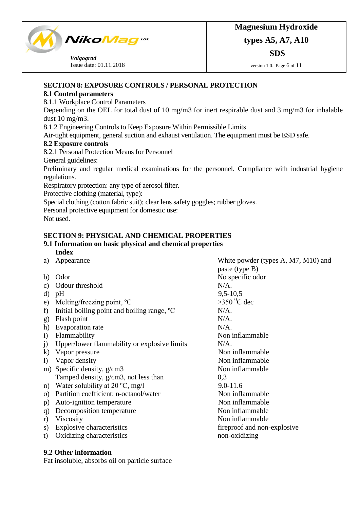

version 1.0. Page 6 of 11

# **SECTION 8: EXPOSURE CONTROLS / PERSONAL PROTECTION**

# **8.1 Control parameters**

8.1.1 Workplace Control Parameters

Depending on the OEL for total dust of 10 mg/m3 for inert respirable dust and 3 mg/m3 for inhalable dust 10 mg/m3.

8.1.2 Engineering Controls to Keep Exposure Within Permissible Limits

Air-tight equipment, general suction and exhaust ventilation. The equipment must be ESD safe.

# **8.2 Exposure controls**

8.2.1 Personal Protection Means for Personnel

General guidelines:

Preliminary and regular medical examinations for the personnel. Compliance with industrial hygiene regulations.

Respiratory protection: any type of aerosol filter.

Protective clothing (material, type):

Special clothing (cotton fabric suit); clear lens safety goggles; rubber gloves.

Personal protective equipment for domestic use:

Not used.

# **SECTION 9: PHYSICAL AND CHEMICAL PROPERTIES**

#### **9.1 Information on basic physical and chemical properties Index**

- 
- 
- c) Odour threshold N/A.
- 
- e) Melting/freezing point,  ${}^{\circ}C$   $>350 {}^{\circ}C$  dec
- f) Initial boiling point and boiling range,  $^{\circ}$ C N/A.
- g) Flash point N/A.
- h) Evaporation rate N/A.
- 
- j) Upper/lower flammability or explosive limits N/A.
- k) Vapor pressure Non inflammable
- 
- m) Specific density, g/cm3 Tamped density, g/cm3, not less than
- n) Water solubility at  $20 °C$ , mg/l 9.0-11.6
- o) Partition coefficient: n-octanol/water Non inflammable
- p) Auto-ignition temperature Non inflammable
- q) Decomposition temperature Non inflammable
- 
- 
- t) Oxidizing characteristics

a) Appearance White powder (types A, M7, M10) and paste (type B) b) Odor No specific odor d) pH 9,5-10,5 i) Flammability Non inflammable l) Vapor density Non inflammable Non inflammable 0,3 r) Viscosity Non inflammable s) Explosive characteristics fireproof and non-explosive to Oxidizing characteristics fireproof and non-explosive non-oxidizing

# **9.2 Other information**

Fat insoluble, absorbs oil on particle surface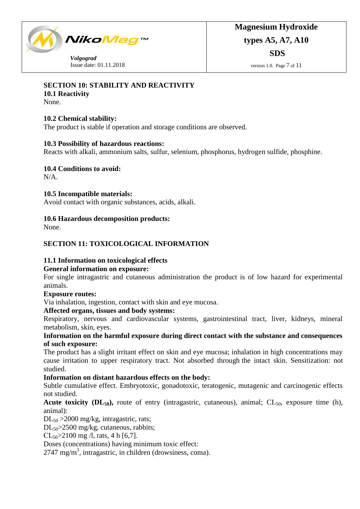

# **SECTION 10: STABILITY AND REACTIVITY**

**10.1 Reactivity**

None.

# **10.2 Chemical stability:**

The product is stable if operation and storage conditions are observed.

# **10.3 Possibility of hazardous reactions:**

Reacts with alkali, ammonium salts, sulfur, selenium, phosphorus, hydrogen sulfide, phosphine.

**10.4 Conditions to avoid:**

N/A.

# **10.5 Incompatible materials:**

Avoid contact with organic substances, acids, alkali.

# **10.6 Hazardous decomposition products:**

None.

# **SECTION 11: TOXICOLOGICAL INFORMATION**

# **11.1 Information on toxicological effects**

# **General information on exposure:**

For single intragastric and cutaneous administration the product is of low hazard for experimental animals.

# **Exposure routes:**

Via inhalation, ingestion, contact with skin and eye mucosa.

# **Affected organs, tissues and body systems:**

Respiratory, nervous and cardiovascular systems, gastrointestinal tract, liver, kidneys, mineral metabolism, skin, eyes.

# **Information on the harmful exposure during direct contact with the substance and consequences of such exposure:**

The product has a slight irritant effect on skin and eye mucosa; inhalation in high concentrations may cause irritation to upper respiratory tract. Not absorbed through the intact skin. Sensitization: not studied.

# **Information on distant hazardous effects on the body:**

Subtle cumulative effect. Embryotoxic, gonadotoxic, teratogenic, mutagenic and carcinogenic effects not studied.

# **Acute toxicity (** $DL_{50}$ **),** route of entry (intragastric, cutaneous), animal;  $CL_{50}$ , exposure time (h), animal):

DL<sup>50</sup> >2000 mg/kg, intragastric, rats;

DL<sub>50</sub>>2500 mg/kg, cutaneous, rabbits;

 $CL_{50} > 2100$  mg /l, rats, 4 h [6,7].

Doses (concentrations) having minimum toxic effect:

2747 mg/m<sup>3</sup>, intragastric, in children (drowsiness, coma).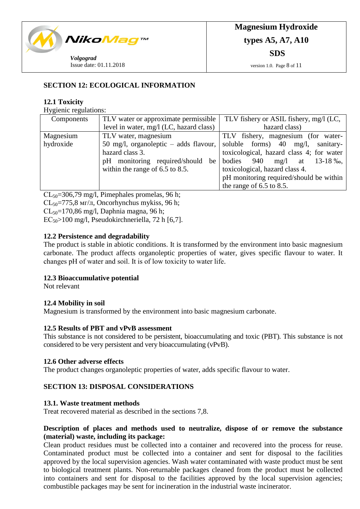

version 1.0. Page 8 of 11

# **SECTION 12: ECOLOGICAL INFORMATION**

### **12.1 Toxicity**

Hygienic regulations:

| Components | TLV water or approximate permissible    | TLV fishery or ASIL fishery, mg/l (LC,          |
|------------|-----------------------------------------|-------------------------------------------------|
|            | level in water, mg/l (LC, hazard class) | hazard class)                                   |
| Magnesium  | TLV water, magnesium                    | TLV fishery, magnesium (for water-              |
| hydroxide  | 50 mg/l, organoleptic $-$ adds flavour, | soluble forms) $40 \text{ mg/l}$ ,<br>sanitary- |
|            | hazard class 3.                         | toxicological, hazard class 4; for water        |
|            | pH monitoring required/should<br>be     | bodies<br>940<br>mg/l at $13-18\%$ ,            |
|            | within the range of $6.5$ to $8.5$ .    | toxicological, hazard class 4.                  |
|            |                                         | pH monitoring required/should be within         |
|            |                                         | the range of $6.5$ to $8.5$ .                   |

 $CL_{50} = 306,79$  mg/l, Pimephales promelas, 96 h;

 $CL_{50} = 775.8$  мг/л, Oncorhynchus mykiss, 96 h;

 $CL_{50} = 170,86$  mg/l, Daphnia magna, 96 h;

 $EC_{50}$ >100 mg/l, Pseudokirchneriella, 72 h [6,7].

### **12.2 Persistence and degradability**

The product is stable in abiotic conditions. It is transformed by the environment into basic magnesium carbonate. The product affects organoleptic properties of water, gives specific flavour to water. It changes рН of water and soil. It is of low toxicity to water life.

### **12.3 Bioaccumulative potential**

Not relevant

### **12.4 Mobility in soil**

Magnesium is transformed by the environment into basic magnesium carbonate.

### **12.5 Results of PBT and vPvB assessment**

This substance is not considered to be persistent, bioaccumulating and toxic (PBT). This substance is not considered to be very persistent and very bioaccumulating (vPvB).

### **12.6 Other adverse effects**

The product changes organoleptic properties of water, adds specific flavour to water.

# **SECTION 13: DISPOSAL CONSIDERATIONS**

### **13.1. Waste treatment methods**

Treat recovered material as described in the sections 7,8.

# **Description of places and methods used to neutralize, dispose of or remove the substance (material) waste, including its package:**

Clean product residues must be collected into a container and recovered into the process for reuse. Contaminated product must be collected into a container and sent for disposal to the facilities approved by the local supervision agencies. Wash water contaminated with waste product must be sent to biological treatment plants. Non-returnable packages cleaned from the product must be collected into containers and sent for disposal to the facilities approved by the local supervision agencies; combustible packages may be sent for incineration in the industrial waste incinerator.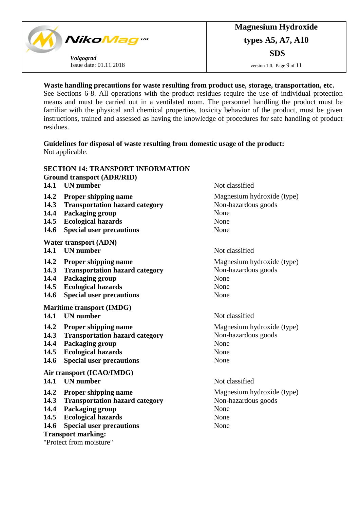

### **Waste handling precautions for waste resulting from product use, storage, transportation, etc.**

See Sections 6-8. All operations with the product residues require the use of individual protection means and must be carried out in a ventilated room. The personnel handling the product must be familiar with the physical and chemical properties, toxicity behavior of the product, must be given instructions, trained and assessed as having the knowledge of procedures for safe handling of product residues.

**Guidelines for disposal of waste resulting from domestic usage of the product:** Not applicable.

|                           | <b>SECTION 14: TRANSPORT INFORMATION</b> |                            |  |  |  |
|---------------------------|------------------------------------------|----------------------------|--|--|--|
|                           | <b>Ground transport (ADR/RID)</b>        |                            |  |  |  |
| 14.1                      | <b>UN</b> number                         | Not classified             |  |  |  |
| 14.2                      | <b>Proper shipping name</b>              | Magnesium hydroxide (type) |  |  |  |
| 14.3                      | <b>Transportation hazard category</b>    | Non-hazardous goods        |  |  |  |
| 14.4                      | Packaging group                          | None                       |  |  |  |
| 14.5                      | <b>Ecological hazards</b>                | None                       |  |  |  |
| 14.6                      | <b>Special user precautions</b>          | None                       |  |  |  |
|                           | <b>Water transport (ADN)</b>             |                            |  |  |  |
| 14.1                      | <b>UN</b> number                         | Not classified             |  |  |  |
| 14.2                      | <b>Proper shipping name</b>              | Magnesium hydroxide (type) |  |  |  |
| 14.3                      | <b>Transportation hazard category</b>    | Non-hazardous goods        |  |  |  |
| 14.4                      | Packaging group                          | None                       |  |  |  |
| 14.5                      | <b>Ecological hazards</b>                | None                       |  |  |  |
| 14.6                      | <b>Special user precautions</b>          | None                       |  |  |  |
|                           | Maritime transport (IMDG)                |                            |  |  |  |
| 14.1                      | <b>UN</b> number                         | Not classified             |  |  |  |
| 14.2                      | <b>Proper shipping name</b>              | Magnesium hydroxide (type) |  |  |  |
| 14.3                      | <b>Transportation hazard category</b>    | Non-hazardous goods        |  |  |  |
| 14.4                      | Packaging group                          | None                       |  |  |  |
| 14.5                      | <b>Ecological hazards</b>                | None                       |  |  |  |
| 14.6                      | <b>Special user precautions</b>          | None                       |  |  |  |
|                           | Air transport (ICAO/IMDG)                |                            |  |  |  |
|                           | 14.1 UN number                           | Not classified             |  |  |  |
| 14.2                      | <b>Proper shipping name</b>              | Magnesium hydroxide (type) |  |  |  |
| 14.3                      | <b>Transportation hazard category</b>    | Non-hazardous goods        |  |  |  |
| 14.4                      | Packaging group                          | None                       |  |  |  |
| 14.5                      | <b>Ecological hazards</b>                | None                       |  |  |  |
| 14.6                      | <b>Special user precautions</b>          | None                       |  |  |  |
| <b>Transport marking:</b> |                                          |                            |  |  |  |
| "Protect from moisture"   |                                          |                            |  |  |  |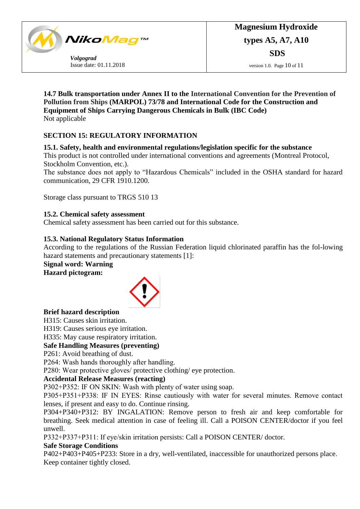

**14.7 Bulk transportation under Annex II to the International Convention for the Prevention of Pollution from Ships (MARPOL) 73/78 and International Code for the Construction and Equipment of Ships Carrying Dangerous Chemicals in Bulk (IBC Code)** Not applicable

# **SECTION 15: REGULATORY INFORMATION**

# **15.1. Safety, health and environmental regulations/legislation specific for the substance**

This product is not controlled under international conventions and agreements (Montreal Protocol, Stockholm Convention, etc.).

The substance does not apply to "Hazardous Chemicals" included in the OSHA standard for hazard communication, 29 CFR 1910.1200.

Storage class pursuant to TRGS 510 13

# **15.2. Chemical safety assessment**

Chemical safety assessment has been carried out for this substance.

# **15.3. National Regulatory Status Information**

According to the regulations of the Russian Federation liquid chlorinated paraffin has the fol-lowing hazard statements and precautionary statements [1]:

# **Signal word: Warning**

**Hazard pictogram:**



# **Brief hazard description**

Н315: Causes skin irritation.

Н319: Causes serious eye irritation.

Н335: May cause respiratory irritation.

# **Safe Handling Measures (preventing)**

Р261: Avoid breathing of dust.

Р264: Wash hands thoroughly after handling.

Р280: Wear protective gloves/ protective clothing/ eye protection.

# **Accidental Release Measures (reacting)**

Р302+Р352: IF ON SKIN: Wash with plenty of water using soap.

Р305+Р351+Р338: IF IN EYES: Rinse cautiously with water for several minutes. Remove contact lenses, if present and easy to do. Continue rinsing.

Р304+Р340+Р312: BY INGALATION: Remove person to fresh air and keep comfortable for breathing. Seek medical attention in case of feeling ill. Call a POISON CENTER/doctor if you feel unwell.

Р332+Р337+Р311: If eye/skin irritation persists: Call a POISON CENTER/ doctor.

# **Safe Storage Conditions**

Р402+Р403+Р405+Р233: Store in a dry, well-ventilated, inaccessible for unauthorized persons place. Keep container tightly closed.